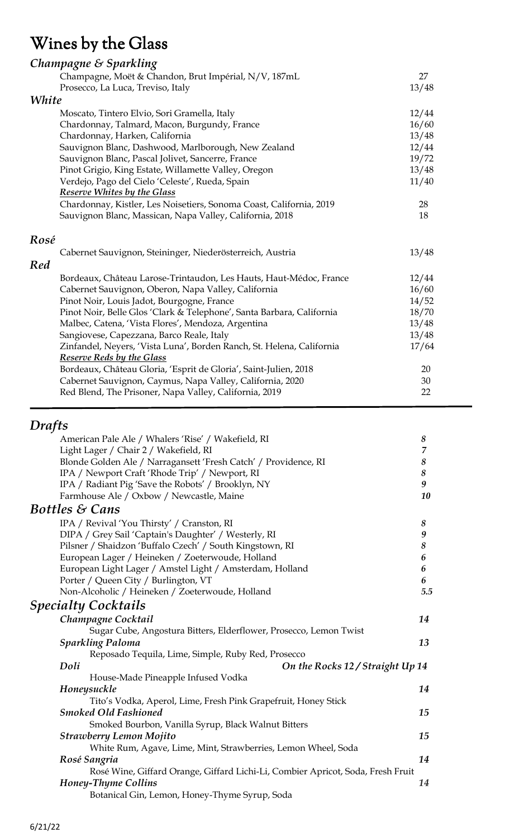# Wines by the Glass

|       | Champagne & Sparkling                                                 |       |
|-------|-----------------------------------------------------------------------|-------|
|       | Champagne, Moët & Chandon, Brut Impérial, N/V, 187mL                  | 27    |
|       | Prosecco, La Luca, Treviso, Italy                                     | 13/48 |
| White |                                                                       |       |
|       | Moscato, Tintero Elvio, Sori Gramella, Italy                          | 12/44 |
|       | Chardonnay, Talmard, Macon, Burgundy, France                          | 16/60 |
|       | Chardonnay, Harken, California                                        | 13/48 |
|       | Sauvignon Blanc, Dashwood, Marlborough, New Zealand                   | 12/44 |
|       | Sauvignon Blanc, Pascal Jolivet, Sancerre, France                     | 19/72 |
|       | Pinot Grigio, King Estate, Willamette Valley, Oregon                  | 13/48 |
|       | Verdejo, Pago del Cielo 'Celeste', Rueda, Spain                       | 11/40 |
|       | <b>Reserve Whites by the Glass</b>                                    |       |
|       | Chardonnay, Kistler, Les Noisetiers, Sonoma Coast, California, 2019   | 28    |
|       | Sauvignon Blanc, Massican, Napa Valley, California, 2018              | 18    |
| Rosé  | Cabernet Sauvignon, Steininger, Niederösterreich, Austria             | 13/48 |
| Red   |                                                                       |       |
|       | Bordeaux, Château Larose-Trintaudon, Les Hauts, Haut-Médoc, France    | 12/44 |
|       | Cabernet Sauvignon, Oberon, Napa Valley, California                   | 16/60 |
|       | Pinot Noir, Louis Jadot, Bourgogne, France                            | 14/52 |
|       | Pinot Noir, Belle Glos 'Clark & Telephone', Santa Barbara, California | 18/70 |
|       | Malbec, Catena, 'Vista Flores', Mendoza, Argentina                    | 13/48 |
|       | Sangiovese, Capezzana, Barco Reale, Italy                             | 13/48 |
|       | Zinfandel, Neyers, 'Vista Luna', Borden Ranch, St. Helena, California | 17/64 |
|       | <b>Reserve Reds by the Glass</b>                                      |       |
|       | Bordeaux, Château Gloria, 'Esprit de Gloria', Saint-Julien, 2018      | 20    |
|       | Cabernet Sauvignon, Caymus, Napa Valley, California, 2020             | 30    |
|       | Red Blend, The Prisoner, Napa Valley, California, 2019                | 22    |

# *Drafts*

| American Pale Ale / Whalers 'Rise' / Wakefield, RI                              | $\boldsymbol{8}$ |
|---------------------------------------------------------------------------------|------------------|
| Light Lager / Chair 2 / Wakefield, RI                                           | $\overline{7}$   |
| Blonde Golden Ale / Narragansett 'Fresh Catch' / Providence, RI                 | 8                |
| IPA / Newport Craft 'Rhode Trip' / Newport, RI                                  | $\boldsymbol{8}$ |
| IPA / Radiant Pig 'Save the Robots' / Brooklyn, NY                              | 9                |
| Farmhouse Ale / Oxbow / Newcastle, Maine                                        | 10               |
| <b>Bottles &amp; Cans</b>                                                       |                  |
| IPA / Revival 'You Thirsty' / Cranston, RI                                      | $\boldsymbol{8}$ |
| DIPA / Grey Sail 'Captain's Daughter' / Westerly, RI                            | $\boldsymbol{9}$ |
| Pilsner / Shaidzon 'Buffalo Czech' / South Kingstown, RI                        | 8                |
| European Lager / Heineken / Zoeterwoude, Holland                                | 6                |
| European Light Lager / Amstel Light / Amsterdam, Holland                        | 6                |
| Porter / Queen City / Burlington, VT                                            | 6                |
| Non-Alcoholic / Heineken / Zoeterwoude, Holland                                 | 5.5              |
| <b>Specialty Cocktails</b>                                                      |                  |
| Champagne Cocktail                                                              | 14               |
| Sugar Cube, Angostura Bitters, Elderflower, Prosecco, Lemon Twist               |                  |
| <b>Sparkling Paloma</b>                                                         | 13               |
| Reposado Tequila, Lime, Simple, Ruby Red, Prosecco                              |                  |
| Doli<br>On the Rocks 12 / Straight Up 14                                        |                  |
| House-Made Pineapple Infused Vodka                                              |                  |
| Honeysuckle                                                                     | 14               |
| Tito's Vodka, Aperol, Lime, Fresh Pink Grapefruit, Honey Stick                  |                  |
| <b>Smoked Old Fashioned</b>                                                     | 15               |
| Smoked Bourbon, Vanilla Syrup, Black Walnut Bitters                             |                  |
| <b>Strawberry Lemon Mojito</b>                                                  | 15               |
| White Rum, Agave, Lime, Mint, Strawberries, Lemon Wheel, Soda                   |                  |
| Rosé Sangria                                                                    | 14               |
| Rosé Wine, Giffard Orange, Giffard Lichi-Li, Combier Apricot, Soda, Fresh Fruit |                  |
| Honey-Thyme Collins                                                             | 14               |
| Botanical Gin, Lemon, Honey-Thyme Syrup, Soda                                   |                  |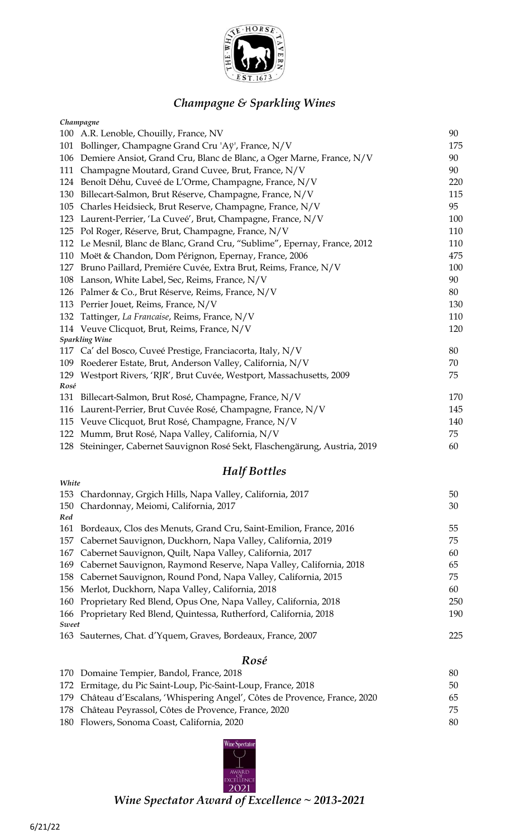

### *Champagne & Sparkling Wines*

|      | Champagne                                                                   |     |
|------|-----------------------------------------------------------------------------|-----|
|      | 100 A.R. Lenoble, Chouilly, France, NV                                      | 90  |
| 101  | Bollinger, Champagne Grand Cru 'Aÿ', France, N/V                            | 175 |
| 106  | Demiere Ansiot, Grand Cru, Blanc de Blanc, a Oger Marne, France, N/V        | 90  |
| 111  | Champagne Moutard, Grand Cuvee, Brut, France, N/V                           | 90  |
| 124  | Benoît Déhu, Cuveé de L'Orme, Champagne, France, N/V                        | 220 |
| 130  | Billecart-Salmon, Brut Réserve, Champagne, France, N/V                      | 115 |
| 105  | Charles Heidsieck, Brut Reserve, Champagne, France, N/V                     | 95  |
| 123  | Laurent-Perrier, 'La Cuveé', Brut, Champagne, France, N/V                   | 100 |
| 125  | Pol Roger, Réserve, Brut, Champagne, France, N/V                            | 110 |
| 112  | Le Mesnil, Blanc de Blanc, Grand Cru, "Sublime", Epernay, France, 2012      | 110 |
| 110  | Moët & Chandon, Dom Pérignon, Epernay, France, 2006                         | 475 |
| 127  | Bruno Paillard, Premiére Cuvée, Extra Brut, Reims, France, N/V              | 100 |
| 108  | Lanson, White Label, Sec, Reims, France, N/V                                | 90  |
| 126  | Palmer & Co., Brut Réserve, Reims, France, N/V                              | 80  |
| 113  | Perrier Jouet, Reims, France, N/V                                           | 130 |
| 132  | Tattinger, La Francaise, Reims, France, N/V                                 | 110 |
|      | 114 Veuve Clicquot, Brut, Reims, France, N/V                                | 120 |
|      | <b>Sparkling Wine</b>                                                       |     |
|      | 117 Ca' del Bosco, Cuveé Prestige, Franciacorta, Italy, N/V                 | 80  |
| 109  | Roederer Estate, Brut, Anderson Valley, California, N/V                     | 70  |
| 129  | Westport Rivers, 'RJR', Brut Cuvée, Westport, Massachusetts, 2009           | 75  |
| Rosé |                                                                             |     |
| 131  | Billecart-Salmon, Brut Rosé, Champagne, France, N/V                         | 170 |
| 116  | Laurent-Perrier, Brut Cuvée Rosé, Champagne, France, N/V                    | 145 |
| 115  | Veuve Clicquot, Brut Rosé, Champagne, France, N/V                           | 140 |
| 122  | Mumm, Brut Rosé, Napa Valley, California, N/V                               | 75  |
|      | 128 Steininger, Cabernet Sauvignon Rosé Sekt, Flaschengärung, Austria, 2019 | 60  |

### *Half Bottles*

|                                                                   | 50                                                                                                                                                                                                                                                                                                                                                                                                                                                                                                                                                                                                                                                                             |
|-------------------------------------------------------------------|--------------------------------------------------------------------------------------------------------------------------------------------------------------------------------------------------------------------------------------------------------------------------------------------------------------------------------------------------------------------------------------------------------------------------------------------------------------------------------------------------------------------------------------------------------------------------------------------------------------------------------------------------------------------------------|
|                                                                   | 30                                                                                                                                                                                                                                                                                                                                                                                                                                                                                                                                                                                                                                                                             |
|                                                                   |                                                                                                                                                                                                                                                                                                                                                                                                                                                                                                                                                                                                                                                                                |
| Bordeaux, Clos des Menuts, Grand Cru, Saint-Emilion, France, 2016 | 55                                                                                                                                                                                                                                                                                                                                                                                                                                                                                                                                                                                                                                                                             |
|                                                                   | 75                                                                                                                                                                                                                                                                                                                                                                                                                                                                                                                                                                                                                                                                             |
|                                                                   | 60                                                                                                                                                                                                                                                                                                                                                                                                                                                                                                                                                                                                                                                                             |
|                                                                   | 65                                                                                                                                                                                                                                                                                                                                                                                                                                                                                                                                                                                                                                                                             |
|                                                                   | 75                                                                                                                                                                                                                                                                                                                                                                                                                                                                                                                                                                                                                                                                             |
|                                                                   | 60                                                                                                                                                                                                                                                                                                                                                                                                                                                                                                                                                                                                                                                                             |
|                                                                   | 250                                                                                                                                                                                                                                                                                                                                                                                                                                                                                                                                                                                                                                                                            |
|                                                                   | 190                                                                                                                                                                                                                                                                                                                                                                                                                                                                                                                                                                                                                                                                            |
|                                                                   |                                                                                                                                                                                                                                                                                                                                                                                                                                                                                                                                                                                                                                                                                |
|                                                                   | 225                                                                                                                                                                                                                                                                                                                                                                                                                                                                                                                                                                                                                                                                            |
|                                                                   | White<br>153 Chardonnay, Grgich Hills, Napa Valley, California, 2017<br>150 Chardonnay, Meiomi, California, 2017<br>157 Cabernet Sauvignon, Duckhorn, Napa Valley, California, 2019<br>167 Cabernet Sauvignon, Quilt, Napa Valley, California, 2017<br>169 Cabernet Sauvignon, Raymond Reserve, Napa Valley, California, 2018<br>158 Cabernet Sauvignon, Round Pond, Napa Valley, California, 2015<br>156 Merlot, Duckhorn, Napa Valley, California, 2018<br>160 Proprietary Red Blend, Opus One, Napa Valley, California, 2018<br>166 Proprietary Red Blend, Quintessa, Rutherford, California, 2018<br>Sweet<br>163 Sauternes, Chat. d'Yquem, Graves, Bordeaux, France, 2007 |

#### *Rosé*

| 170 Domaine Tempier, Bandol, France, 2018                                   | 80 |
|-----------------------------------------------------------------------------|----|
| 172 Ermitage, du Pic Saint-Loup, Pic-Saint-Loup, France, 2018               | 50 |
| 179 Château d'Escalans, 'Whispering Angel', Côtes de Provence, France, 2020 | 65 |
| 178 Château Peyrassol, Côtes de Provence, France, 2020                      | 75 |
| 180 Flowers, Sonoma Coast, California, 2020                                 | 80 |



*Wine Spectator Award of Excellence ~ 2013-2021*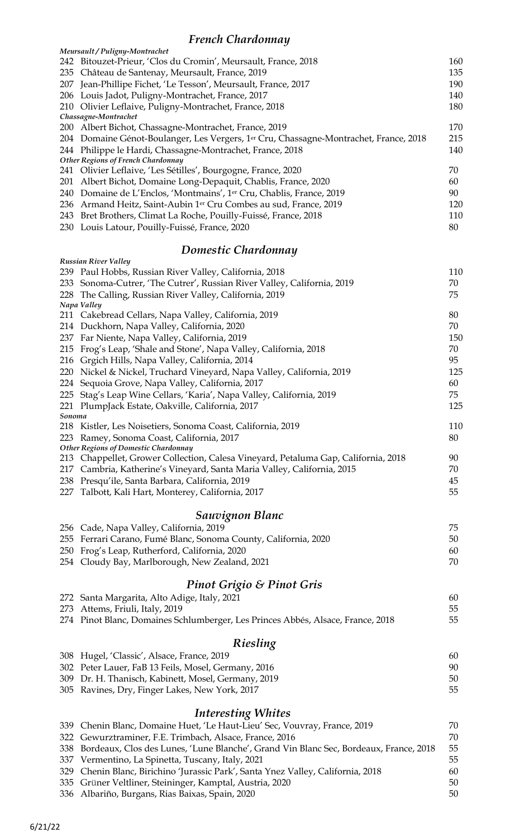### *French Chardonnay*

| Trench Chanachara<br>Meursault / Puligny-Montrachet                                                                                     |     |
|-----------------------------------------------------------------------------------------------------------------------------------------|-----|
| 242 Bitouzet-Prieur, 'Clos du Cromin', Meursault, France, 2018                                                                          | 160 |
| 235 Château de Santenay, Meursault, France, 2019                                                                                        | 135 |
| 207 Jean-Phillipe Fichet, 'Le Tesson', Meursault, France, 2017                                                                          | 190 |
| 206 Louis Jadot, Puligny-Montrachet, France, 2017                                                                                       | 140 |
| 210 Olivier Leflaive, Puligny-Montrachet, France, 2018                                                                                  | 180 |
| Chassagne-Montrachet                                                                                                                    |     |
| 200 Albert Bichot, Chassagne-Montrachet, France, 2019                                                                                   | 170 |
| 204 Domaine Génot-Boulanger, Les Vergers, 1 <sup>er</sup> Cru, Chassagne-Montrachet, France, 2018                                       | 215 |
| 244 Philippe le Hardi, Chassagne-Montrachet, France, 2018                                                                               | 140 |
| Other Regions of French Chardonnay                                                                                                      | 70  |
| 241 Olivier Leflaive, 'Les Sétilles', Bourgogne, France, 2020                                                                           | 60  |
| 201 Albert Bichot, Domaine Long-Depaquit, Chablis, France, 2020<br>240 Domaine de L'Enclos, 'Montmains', 1er Cru, Chablis, France, 2019 | 90  |
| 236 Armand Heitz, Saint-Aubin 1er Cru Combes au sud, France, 2019                                                                       | 120 |
| 243 Bret Brothers, Climat La Roche, Pouilly-Fuissé, France, 2018                                                                        | 110 |
| 230 Louis Latour, Pouilly-Fuissé, France, 2020                                                                                          | 80  |
|                                                                                                                                         |     |
| Domestic Chardonnay<br><b>Russian River Valley</b>                                                                                      |     |
| 239 Paul Hobbs, Russian River Valley, California, 2018                                                                                  | 110 |
| 233 Sonoma-Cutrer, 'The Cutrer', Russian River Valley, California, 2019                                                                 | 70  |
| 228 The Calling, Russian River Valley, California, 2019                                                                                 | 75  |
| Napa Valley                                                                                                                             |     |
| 211 Cakebread Cellars, Napa Valley, California, 2019                                                                                    | 80  |
| 214 Duckhorn, Napa Valley, California, 2020                                                                                             | 70  |
| 237 Far Niente, Napa Valley, California, 2019                                                                                           | 150 |
| 215 Frog's Leap, 'Shale and Stone', Napa Valley, California, 2018                                                                       | 70  |
| 216 Grgich Hills, Napa Valley, California, 2014                                                                                         | 95  |
| 220 Nickel & Nickel, Truchard Vineyard, Napa Valley, California, 2019                                                                   | 125 |
| 224 Sequoia Grove, Napa Valley, California, 2017                                                                                        | 60  |
| 225 Stag's Leap Wine Cellars, 'Karia', Napa Valley, California, 2019                                                                    | 75  |
| 221 PlumpJack Estate, Oakville, California, 2017                                                                                        | 125 |
| Sonoma                                                                                                                                  |     |
| 218 Kistler, Les Noisetiers, Sonoma Coast, California, 2019                                                                             | 110 |
| Ramey, Sonoma Coast, California, 2017<br>223<br><b>Other Regions of Domestic Chardonnay</b>                                             | 80  |
| Chappellet, Grower Collection, Calesa Vineyard, Petaluma Gap, California, 2018<br>213                                                   | 90  |
| Cambria, Katherine's Vineyard, Santa Maria Valley, California, 2015<br>217                                                              | 70  |
| Presqu'ile, Santa Barbara, California, 2019<br>238                                                                                      | 45  |
| Talbott, Kali Hart, Monterey, California, 2017<br>227                                                                                   | 55  |
| <b>Sauvignon Blanc</b>                                                                                                                  |     |
|                                                                                                                                         | 75  |
| 256 Cade, Napa Valley, California, 2019<br>255 Ferrari Carano, Fumé Blanc, Sonoma County, California, 2020                              | 50  |
| 250 Frog's Leap, Rutherford, California, 2020                                                                                           | 60  |
| 254 Cloudy Bay, Marlborough, New Zealand, 2021                                                                                          | 70  |
|                                                                                                                                         |     |
| <b>Pinot Grigio &amp; Pinot Gris</b>                                                                                                    |     |
| 272 Santa Margarita, Alto Adige, Italy, 2021                                                                                            | 60  |
| 273 Attems, Friuli, Italy, 2019                                                                                                         | 55  |
| 274 Pinot Blanc, Domaines Schlumberger, Les Princes Abbés, Alsace, France, 2018                                                         | 55  |
| Riesling                                                                                                                                |     |
| 308 Hugel, 'Classic', Alsace, France, 2019                                                                                              | 60  |
| 302 Peter Lauer, FaB 13 Feils, Mosel, Germany, 2016                                                                                     | 90  |
| 309 Dr. H. Thanisch, Kabinett, Mosel, Germany, 2019                                                                                     | 50  |
| 305 Ravines, Dry, Finger Lakes, New York, 2017                                                                                          | 55  |
| <b>Interesting Whites</b>                                                                                                               |     |
| 339 Chenin Blanc, Domaine Huet, 'Le Haut-Lieu' Sec, Vouvray, France, 2019                                                               | 70  |
| Gewurztraminer, F.E. Trimbach, Alsace, France, 2016<br>322                                                                              | 70  |
| Bordeaux, Clos des Lunes, 'Lune Blanche', Grand Vin Blanc Sec, Bordeaux, France, 2018<br>338                                            | 55  |
| 337 Vermentino, La Spinetta, Tuscany, Italy, 2021                                                                                       | 55  |
| Chenin Blanc, Birichino 'Jurassic Park', Santa Ynez Valley, California, 2018<br>329                                                     | 60  |
| 335 Grüner Veltliner, Steininger, Kamptal, Austria, 2020                                                                                | 50  |

336 Albariño, Burgans, Rias Baixas, Spain, 2020 50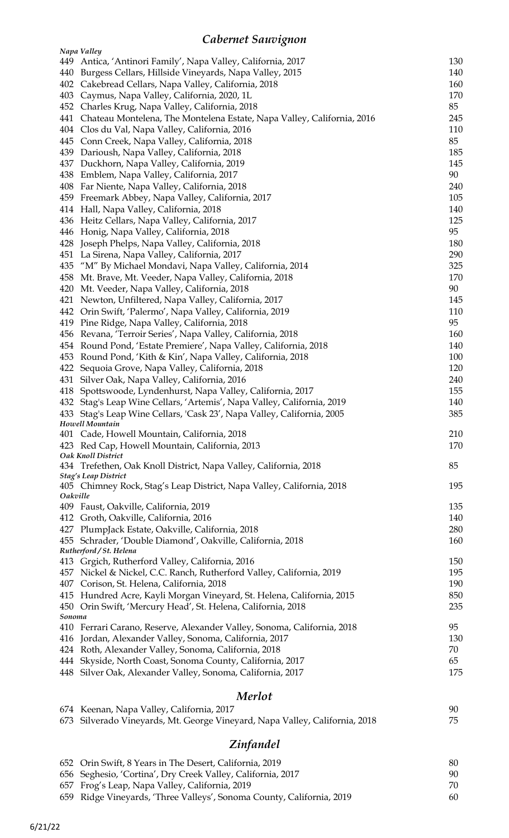## *Cabernet Sauvignon*

|          | Napa Valley                                                                               |     |
|----------|-------------------------------------------------------------------------------------------|-----|
|          | 449 Antica, 'Antinori Family', Napa Valley, California, 2017                              | 130 |
| 440      | Burgess Cellars, Hillside Vineyards, Napa Valley, 2015                                    | 140 |
| 402      | Cakebread Cellars, Napa Valley, California, 2018                                          | 160 |
| 403      | Caymus, Napa Valley, California, 2020, 1L                                                 | 170 |
| 452      | Charles Krug, Napa Valley, California, 2018                                               | 85  |
| 441      | Chateau Montelena, The Montelena Estate, Napa Valley, California, 2016                    | 245 |
| 404      | Clos du Val, Napa Valley, California, 2016                                                | 110 |
| 445      | Conn Creek, Napa Valley, California, 2018                                                 | 85  |
| 439      | Darioush, Napa Valley, California, 2018                                                   | 185 |
| 437      | Duckhorn, Napa Valley, California, 2019                                                   | 145 |
| 438      | Emblem, Napa Valley, California, 2017                                                     | 90  |
| 408      | Far Niente, Napa Valley, California, 2018                                                 | 240 |
| 459      | Freemark Abbey, Napa Valley, California, 2017                                             | 105 |
| 414      | Hall, Napa Valley, California, 2018                                                       | 140 |
| 436      | Heitz Cellars, Napa Valley, California, 2017                                              | 125 |
| 446      | Honig, Napa Valley, California, 2018                                                      | 95  |
| 428      | Joseph Phelps, Napa Valley, California, 2018                                              | 180 |
| 451      | La Sirena, Napa Valley, California, 2017                                                  | 290 |
| 435      | "M" By Michael Mondavi, Napa Valley, California, 2014                                     | 325 |
| 458      | Mt. Brave, Mt. Veeder, Napa Valley, California, 2018                                      | 170 |
| 420      | Mt. Veeder, Napa Valley, California, 2018                                                 | 90  |
| 421      | Newton, Unfiltered, Napa Valley, California, 2017                                         | 145 |
|          |                                                                                           | 110 |
|          | 442 Orin Swift, 'Palermo', Napa Valley, California, 2019                                  | 95  |
| 419      | Pine Ridge, Napa Valley, California, 2018                                                 |     |
| 456      | Revana, 'Terroir Series', Napa Valley, California, 2018                                   | 160 |
| 454      | Round Pond, 'Estate Premiere', Napa Valley, California, 2018                              | 140 |
| 453      | Round Pond, 'Kith & Kin', Napa Valley, California, 2018                                   | 100 |
| 422      | Sequoia Grove, Napa Valley, California, 2018                                              | 120 |
| 431      | Silver Oak, Napa Valley, California, 2016                                                 | 240 |
| 418      | Spottswoode, Lyndenhurst, Napa Valley, California, 2017                                   | 155 |
|          | 432 Stag's Leap Wine Cellars, 'Artemis', Napa Valley, California, 2019                    | 140 |
|          | 433 Stag's Leap Wine Cellars, 'Cask 23', Napa Valley, California, 2005<br>Howell Mountain | 385 |
|          | 401 Cade, Howell Mountain, California, 2018                                               | 210 |
|          | 423 Red Cap, Howell Mountain, California, 2013                                            | 170 |
|          | Oak Knoll District                                                                        |     |
|          | 434 Trefethen, Oak Knoll District, Napa Valley, California, 2018                          | 85  |
|          | Stag's Leap District                                                                      |     |
|          | 405 Chimney Rock, Stag's Leap District, Napa Valley, California, 2018                     | 195 |
| Oakville |                                                                                           |     |
|          | 409 Faust, Oakville, California, 2019                                                     | 135 |
|          | 412 Groth, Oakville, California, 2016                                                     | 140 |
|          | 427 PlumpJack Estate, Oakville, California, 2018                                          | 280 |
|          | 455 Schrader, 'Double Diamond', Oakville, California, 2018                                | 160 |
|          | Rutherford / St. Helena                                                                   |     |
|          | 413 Grgich, Rutherford Valley, California, 2016                                           | 150 |
|          | 457 Nickel & Nickel, C.C. Ranch, Rutherford Valley, California, 2019                      | 195 |
|          | 407 Corison, St. Helena, California, 2018                                                 | 190 |
|          | 415 Hundred Acre, Kayli Morgan Vineyard, St. Helena, California, 2015                     | 850 |
|          | 450 Orin Swift, 'Mercury Head', St. Helena, California, 2018                              | 235 |
| Sonoma   |                                                                                           |     |
|          | 410 Ferrari Carano, Reserve, Alexander Valley, Sonoma, California, 2018                   | 95  |
| 416      | Jordan, Alexander Valley, Sonoma, California, 2017                                        | 130 |
|          | 424 Roth, Alexander Valley, Sonoma, California, 2018                                      | 70  |
|          | 444 Skyside, North Coast, Sonoma County, California, 2017                                 | 65  |
|          | 448 Silver Oak, Alexander Valley, Sonoma, California, 2017                                | 175 |
|          |                                                                                           |     |
|          | <b>Merlot</b>                                                                             |     |
|          | 674 Keenan, Napa Valley, California, 2017                                                 | 90  |

| $\sigma$ 1 rections rups randy comparing $\sigma$                           | . |
|-----------------------------------------------------------------------------|---|
| 673 Silverado Vineyards, Mt. George Vineyard, Napa Valley, California, 2018 |   |

## *Zinfandel*

|  | 652 Orin Swift, 8 Years in The Desert, California, 2019               | 80 |
|--|-----------------------------------------------------------------------|----|
|  | 656 Seghesio, 'Cortina', Dry Creek Valley, California, 2017           | 90 |
|  | 657 Frog's Leap, Napa Valley, California, 2019                        | 70 |
|  | 659 Ridge Vineyards, 'Three Valleys', Sonoma County, California, 2019 | 60 |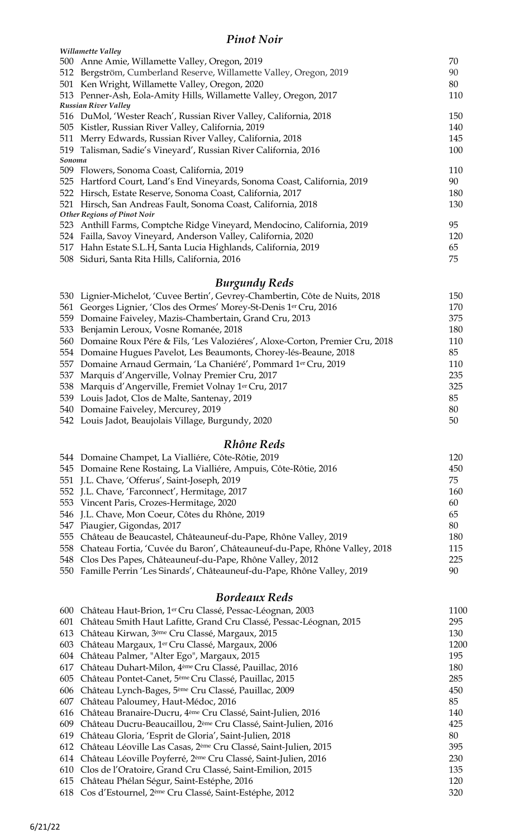#### *Pinot Noir*

|        | Willamette Valley                                                    |     |  |  |
|--------|----------------------------------------------------------------------|-----|--|--|
|        | 500 Anne Amie, Willamette Valley, Oregon, 2019<br>70                 |     |  |  |
| 512    | Bergström, Cumberland Reserve, Willamette Valley, Oregon, 2019       | 90  |  |  |
| 501    | Ken Wright, Willamette Valley, Oregon, 2020                          | 80  |  |  |
|        | 513 Penner-Ash, Eola-Amity Hills, Willamette Valley, Oregon, 2017    | 110 |  |  |
|        | <b>Russian River Valley</b>                                          |     |  |  |
|        | 516 DuMol, 'Wester Reach', Russian River Valley, California, 2018    | 150 |  |  |
|        | 505 Kistler, Russian River Valley, California, 2019                  | 140 |  |  |
| 511    | Merry Edwards, Russian River Valley, California, 2018                | 145 |  |  |
| 519    | Talisman, Sadie's Vineyard', Russian River California, 2016          | 100 |  |  |
| Sonoma |                                                                      |     |  |  |
|        | 509 Flowers, Sonoma Coast, California, 2019                          | 110 |  |  |
| 525    | Hartford Court, Land's End Vineyards, Sonoma Coast, California, 2019 | 90  |  |  |
| 522    | Hirsch, Estate Reserve, Sonoma Coast, California, 2017               | 180 |  |  |
| 521    | Hirsch, San Andreas Fault, Sonoma Coast, California, 2018            | 130 |  |  |
|        | <b>Other Regions of Pinot Noir</b>                                   |     |  |  |
| 523    | Anthill Farms, Comptche Ridge Vineyard, Mendocino, California, 2019  | 95  |  |  |
| 524    | Failla, Savoy Vineyard, Anderson Valley, California, 2020            | 120 |  |  |
| 517    | Hahn Estate S.L.H, Santa Lucia Highlands, California, 2019           | 65  |  |  |
|        | 508 Siduri, Santa Rita Hills, California, 2016                       | 75  |  |  |
|        | <b>Burgundy Reds</b>                                                 |     |  |  |

| 530 Lignier-Michelot, 'Cuvee Bertin', Gevrey-Chambertin, Côte de Nuits, 2018    | 150 |
|---------------------------------------------------------------------------------|-----|
| 561 Georges Lignier, 'Clos des Ormes' Morey-St-Denis 1er Cru, 2016              | 170 |
| 559 Domaine Faiveley, Mazis-Chambertain, Grand Cru, 2013                        | 375 |
| 533 Benjamin Leroux, Vosne Romanée, 2018                                        | 180 |
| 560 Domaine Roux Pére & Fils, 'Les Valoziéres', Aloxe-Corton, Premier Cru, 2018 | 110 |
| 554 Domaine Hugues Pavelot, Les Beaumonts, Chorey-lés-Beaune, 2018              | 85  |
| 557 Domaine Arnaud Germain, 'La Chaniéré', Pommard 1er Cru, 2019                | 110 |
| 537 Marquis d'Angerville, Volnay Premier Cru, 2017                              | 235 |
| 538 Marquis d'Angerville, Fremiet Volnay 1er Cru, 2017                          | 325 |
| 539 Louis Jadot, Clos de Malte, Santenay, 2019                                  | 85  |
| 540 Domaine Faiveley, Mercurey, 2019                                            | 80  |
| 542 Louis Jadot, Beaujolais Village, Burgundy, 2020                             | 50  |
|                                                                                 |     |

### *Rhône Reds*

| 544 Domaine Champet, La Vialliére, Côte-Rôtie, 2019                           | 120 |
|-------------------------------------------------------------------------------|-----|
| 545 Domaine Rene Rostaing, La Vialliére, Ampuis, Côte-Rôtie, 2016             | 450 |
| 551 J.L. Chave, 'Offerus', Saint-Joseph, 2019                                 | 75  |
| 552 J.L. Chave, 'Farconnect', Hermitage, 2017                                 | 160 |
| 553 Vincent Paris, Crozes-Hermitage, 2020                                     | 60  |
| 546 J.L. Chave, Mon Coeur, Côtes du Rhône, 2019                               | 65  |
| 547 Piaugier, Gigondas, 2017                                                  | 80  |
| 555 Château de Beaucastel, Châteauneuf-du-Pape, Rhône Valley, 2019            | 180 |
| 558 Chateau Fortia, 'Cuvée du Baron', Châteauneuf-du-Pape, Rhône Valley, 2018 | 115 |
| 548 Clos Des Papes, Châteauneuf-du-Pape, Rhône Valley, 2012                   | 225 |
| 550 Famille Perrin 'Les Sinards', Châteauneuf-du-Pape, Rhône Valley, 2019     | 90  |
|                                                                               |     |

### *Bordeaux Reds*

|     | 600 Château Haut-Brion, 1er Cru Classé, Pessac-Léognan, 2003                | 1100 |
|-----|-----------------------------------------------------------------------------|------|
| 601 | Château Smith Haut Lafitte, Grand Cru Classé, Pessac-Léognan, 2015          | 295  |
| 613 | Château Kirwan, 3 <sup>ème</sup> Cru Classé, Margaux, 2015                  | 130  |
| 603 | Château Margaux, 1er Cru Classé, Margaux, 2006                              | 1200 |
| 604 | Château Palmer, "Alter Ego", Margaux, 2015                                  | 195  |
| 617 | Château Duhart-Milon, 4 <sup>ème</sup> Cru Classé, Pauillac, 2016           | 180  |
|     | 605 Château Pontet-Canet, 5 <sup>ème</sup> Cru Classé, Pauillac, 2015       | 285  |
|     | 606 Château Lynch-Bages, 5 <sup>ème</sup> Cru Classé, Pauillac, 2009        | 450  |
| 607 | Château Paloumey, Haut-Médoc, 2016                                          | 85   |
|     | 616 Château Branaire-Ducru, 4 <sup>ème</sup> Cru Classé, Saint-Julien, 2016 | 140  |
| 609 | Château Ducru-Beaucaillou, 2 <sup>ème</sup> Cru Classé, Saint-Julien, 2016  | 425  |
|     | 619 Château Gloria, 'Esprit de Gloria', Saint-Julien, 2018                  | 80   |
| 612 | Château Léoville Las Casas, 2 <sup>ème</sup> Cru Classé, Saint-Julien, 2015 | 395  |
| 614 | Château Léoville Poyferré, 2ème Cru Classé, Saint-Julien, 2016              | 230  |
| 610 | Clos de l'Oratoire, Grand Cru Classé, Saint-Emilion, 2015                   | 135  |
|     | 615 Château Phélan Ségur, Saint-Estéphe, 2016                               | 120  |
|     | 618 Cos d'Estournel, 2 <sup>ème</sup> Cru Classé, Saint-Estéphe, 2012       | 320  |
|     |                                                                             |      |